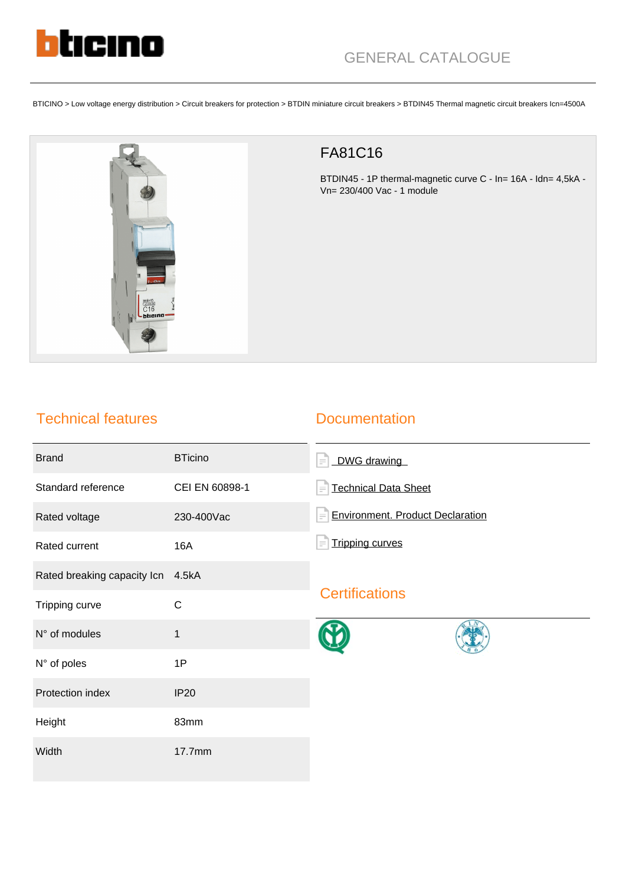

BTICINO > Low voltage energy distribution > Circuit breakers for protection > BTDIN miniature circuit breakers > BTDIN45 Thermal magnetic circuit breakers Icn=4500A



## FA81C16

BTDIN45 - 1P thermal-magnetic curve C - In= 16A - Idn= 4,5kA - Vn= 230/400 Vac - 1 module

## Technical features

## **Documentation**

| <b>Brand</b>                | <b>BTicino</b> | DWG drawing<br>$\equiv$                             |
|-----------------------------|----------------|-----------------------------------------------------|
| Standard reference          | CEI EN 60898-1 | <b>Technical Data Sheet</b><br>$\equiv$             |
| Rated voltage               | 230-400Vac     | <b>Environment. Product Declaration</b><br>$\equiv$ |
| Rated current               | <b>16A</b>     | <b>Tripping curves</b>                              |
| Rated breaking capacity Icn | 4.5kA          | <b>Certifications</b>                               |
| Tripping curve              | $\mathsf C$    |                                                     |
| N° of modules               | $\mathbf{1}$   |                                                     |
| N° of poles                 | 1P             |                                                     |
| Protection index            | <b>IP20</b>    |                                                     |
| Height                      | 83mm           |                                                     |
| Width                       | 17.7mm         |                                                     |